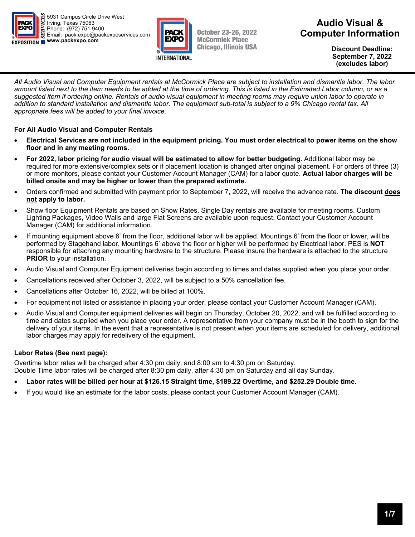



October 23-26, 2022 **McCormick Place Chicago, Illinois USA** 

## **Audio Visual & Computer Information**

**Discount Deadline: September 7, 2022 (excludes labor)** 

*All Audio Visual and Computer Equipment rentals at McCormick Place are subject to installation and dismantle labor. The labor amount listed next to the item needs to be added at the time of ordering. This is listed in the Estimated Labor column, or as a suggested item if ordering online. Rentals of audio visual equipment in meeting rooms may require union labor to operate in addition to standard installation and dismantle labor. The equipment sub-total is subject to a 9% Chicago rental tax. All appropriate fees will be added to your final invoice.* 

### **For All Audio Visual and Computer Rentals**

- **Electrical Services are not included in the equipment pricing. You must order electrical to power items on the show floor and in any meeting rooms.**
- **For 2022, labor pricing for audio visual will be estimated to allow for better budgeting.** Additional labor may be required for more extensive/complex sets or if placement location is changed after original placement. For orders of three (3) or more monitors, please contact your Customer Account Manager (CAM) for a labor quote. **Actual labor charges will be billed onsite and may be higher or lower than the prepared estimate.**
- Orders confirmed and submitted with payment prior to September 7, 2022, will receive the advance rate. **The discount does not apply to labor.**
- Show floor Equipment Rentals are based on Show Rates. Single Day rentals are available for meeting rooms. Custom Lighting Packages, Video Walls and large Flat Screens are available upon request. Contact your Customer Account Manager (CAM) for additional information.
- If mounting equipment above 6' from the floor, additional labor will be applied. Mountings 6' from the floor or lower, will be performed by Stagehand labor. Mountings 6' above the floor or higher will be performed by Electrical labor. PES is **NOT** responsible for attaching any mounting hardware to the structure. Please insure the hardware is attached to the structure **PRIOR** to your installation.
- Audio Visual and Computer Equipment deliveries begin according to times and dates supplied when you place your order.
- Cancellations received after October 3, 2022, will be subject to a 50% cancellation fee.
- Cancellations after October 16, 2022, will be billed at 100%.
- For equipment not listed or assistance in placing your order, please contact your Customer Account Manager (CAM).
- Audio Visual and Computer equipment deliveries will begin on Thursday, October 20, 2022, and will be fulfilled according to time and dates supplied when you place your order. A representative from your company must be in the booth to sign for the delivery of your items. In the event that a representative is not present when your items are scheduled for delivery, additional labor charges may apply for redelivery of the equipment.

### **Labor Rates (See next page):**

Overtime labor rates will be charged after 4:30 pm daily, and 8:00 am to 4:30 pm on Saturday. Double Time labor rates will be charged after 8:30 pm daily, after 4:30 pm on Saturday and all day Sunday.

- Labor rates will be billed per hour at \$126.15 Straight time, \$189.22 Overtime, and \$252.29 Double time.
- If you would like an estimate for the labor costs, please contact your Customer Account Manager (CAM).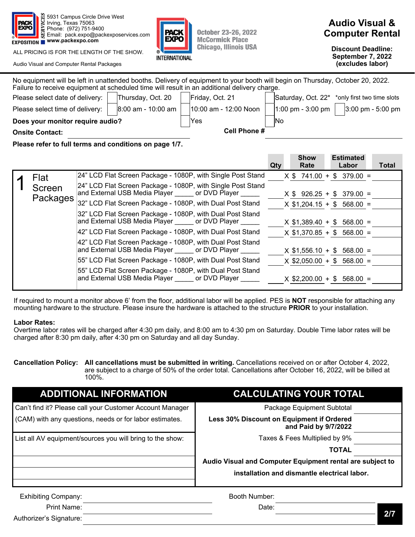

ALL PRICING IS FOR THE LENGTH OF THE SHOW.

Audio Visual and Computer Rental Packages



**October 23-26, 2022 McCormick Place Chicago, Illinois USA** 

# **Audio Visual & Computer Rental**

**Discount Deadline: September 7, 2022 (excludes labor)** 

| No equipment will be left in unattended booths. Delivery of equipment to your booth will begin on Thursday, October 20, 2022.<br>Failure to receive equipment at scheduled time will result in an additional delivery charge. |                      |                       |                   |                                                           |  |
|-------------------------------------------------------------------------------------------------------------------------------------------------------------------------------------------------------------------------------|----------------------|-----------------------|-------------------|-----------------------------------------------------------|--|
| Please select date of delivery:                                                                                                                                                                                               | Thursday, Oct. 20    | Friday, Oct. 21       |                   | Saturday, Oct. 22 <sup>*</sup> *only first two time slots |  |
| Please select time of delivery:                                                                                                                                                                                               | $8:00$ am - 10:00 am | 10:00 am - 12:00 Noon | 1:00 pm - 3:00 pm | $3:00 \text{ pm} - 5:00 \text{ pm}$                       |  |
| Does your monitor require audio?                                                                                                                                                                                              |                      | <b>Yes</b>            | <b>INo</b>        |                                                           |  |
| <b>Onsite Contact:</b>                                                                                                                                                                                                        |                      | <b>Cell Phone #</b>   |                   |                                                           |  |
|                                                                                                                                                                                                                               |                      |                       |                   |                                                           |  |

**Please refer to full terms and conditions on page 1/7.** 

|          |                                                                                                            | Qty | <b>Show</b><br>Rate | <b>Estimated</b><br>Labor    | Total |
|----------|------------------------------------------------------------------------------------------------------------|-----|---------------------|------------------------------|-------|
| Flat     | 24" LCD Flat Screen Package - 1080P, with Single Post Stand                                                |     |                     | $X $ 741.00 + $ 379.00 =$    |       |
| Screen   | 24" LCD Flat Screen Package - 1080P, with Single Post Stand<br>and External USB Media Player or DVD Player |     |                     | $X$ \$ 926.25 + \$ 379.00 =  |       |
| Packages | 32" LCD Flat Screen Package - 1080P, with Dual Post Stand                                                  |     |                     | $X$ \$1,204.15 + \$ 568.00 = |       |
|          | 32" LCD Flat Screen Package - 1080P, with Dual Post Stand<br>and External USB Media Player or DVD Player   |     |                     | $X$ \$1,389.40 + \$ 568.00 = |       |
|          | 42" LCD Flat Screen Package - 1080P, with Dual Post Stand                                                  |     |                     | $X$ \$1,370.85 + \$ 568.00 = |       |
|          | 42" LCD Flat Screen Package - 1080P, with Dual Post Stand<br>and External USB Media Player or DVD Player   |     | $X$ \$1,556.10 + \$ | $568.00 =$                   |       |
|          | 55" LCD Flat Screen Package - 1080P, with Dual Post Stand                                                  |     |                     | $X$ \$2,050.00 + \$ 568.00 = |       |
|          | 55" LCD Flat Screen Package - 1080P, with Dual Post Stand<br>and External USB Media Player or DVD Player   |     | $X$ \$2,200.00 + \$ | $568.00 =$                   |       |

If required to mount a monitor above 6' from the floor, additional labor will be applied. PES is **NOT** responsible for attaching any mounting hardware to the structure. Please insure the hardware is attached to the structure **PRIOR** to your installation.

### **Labor Rates:**

Authorizer's Signature:

Overtime labor rates will be charged after 4:30 pm daily, and 8:00 am to 4:30 pm on Saturday. Double Time labor rates will be charged after 8:30 pm daily, after 4:30 pm on Saturday and all day Sunday.

| Cancellation Policy: All cancellations must be submitted in writing. Cancellations received on or after October 4, 2022, |
|--------------------------------------------------------------------------------------------------------------------------|
| are subject to a charge of 50% of the order total. Cancellations after October 16, 2022, will be billed at               |
| 100%.                                                                                                                    |

| <b>ADDITIONAL INFORMATION</b>                             | <b>CALCULATING YOUR TOTAL</b>                                     |
|-----------------------------------------------------------|-------------------------------------------------------------------|
| Can't find it? Please call your Customer Account Manager  | Package Equipment Subtotal                                        |
| (CAM) with any questions, needs or for labor estimates.   | Less 30% Discount on Equipment if Ordered<br>and Paid by 9/7/2022 |
| List all AV equipment/sources you will bring to the show: | Taxes & Fees Multiplied by 9%                                     |
|                                                           | <b>TOTAL</b>                                                      |
|                                                           | Audio Visual and Computer Equipment rental are subject to         |
|                                                           | installation and dismantle electrical labor.                      |
| <b>Exhibiting Company:</b>                                | Booth Number:                                                     |
| Print Name:                                               | Date:                                                             |

**2/7**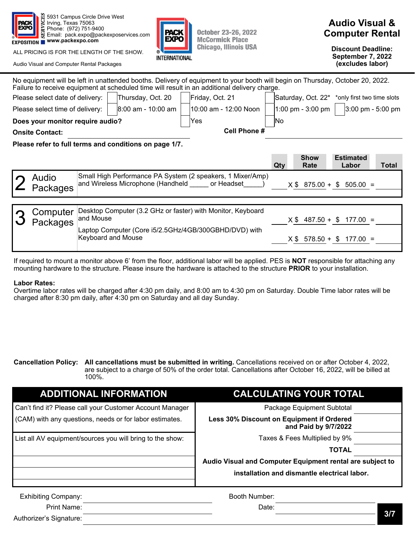

ALL PRICING IS FOR THE LENGTH OF THE SHOW.

Audio Visual and Computer Rental Packages



**Discount Deadline: September 7, 2022 (excludes labor)** 

|                                                                                                                               | No equipment will be left in unattended booths. Delivery of equipment to your booth will begin on Thursday, October 20, 2022.<br>Failure to receive equipment at scheduled time will result in an additional delivery charge. |  |                      |                 |                       |  |           |                                                           |                           |                                     |
|-------------------------------------------------------------------------------------------------------------------------------|-------------------------------------------------------------------------------------------------------------------------------------------------------------------------------------------------------------------------------|--|----------------------|-----------------|-----------------------|--|-----------|-----------------------------------------------------------|---------------------------|-------------------------------------|
| Thursday, Oct. 20<br>Please select date of delivery:                                                                          |                                                                                                                                                                                                                               |  |                      | Friday, Oct. 21 |                       |  |           | Saturday, Oct. 22 <sup>*</sup> *only first two time slots |                           |                                     |
|                                                                                                                               | Please select time of delivery:                                                                                                                                                                                               |  | $8:00$ am - 10:00 am |                 | 10:00 am - 12:00 Noon |  |           | 1:00 pm - 3:00 pm $ $                                     |                           | $3:00 \text{ pm} - 5:00 \text{ pm}$ |
|                                                                                                                               | Does your monitor require audio?                                                                                                                                                                                              |  |                      |                 | Yes                   |  | <b>No</b> |                                                           |                           |                                     |
|                                                                                                                               | <b>Onsite Contact:</b>                                                                                                                                                                                                        |  |                      |                 | Cell Phone #          |  |           |                                                           |                           |                                     |
|                                                                                                                               | Please refer to full terms and conditions on page 1/7.                                                                                                                                                                        |  |                      |                 |                       |  |           |                                                           |                           |                                     |
|                                                                                                                               |                                                                                                                                                                                                                               |  |                      |                 |                       |  | Qty       | <b>Show</b><br>Rate                                       | <b>Estimated</b><br>Labor | <b>Total</b>                        |
|                                                                                                                               | Small High Performance PA System (2 speakers, 1 Mixer/Amp)<br>Audio<br>and Wireless Microphone (Handheld or Headset<br>$X$ \$ 875.00 + \$ 505.00 =<br>Packages                                                                |  |                      |                 |                       |  |           |                                                           |                           |                                     |
|                                                                                                                               |                                                                                                                                                                                                                               |  |                      |                 |                       |  |           |                                                           |                           |                                     |
| Desktop Computer (3.2 GHz or faster) with Monitor, Keyboard<br>Computer<br>and Mouse<br>$X $ 487.50 + $ 177.00 =$<br>Packages |                                                                                                                                                                                                                               |  |                      |                 |                       |  |           |                                                           |                           |                                     |
| Laptop Computer (Core i5/2.5GHz/4GB/300GBHD/DVD) with<br>Keyboard and Mouse<br>$X$ \$ 578.50 + \$                             |                                                                                                                                                                                                                               |  | $177.00 =$           |                 |                       |  |           |                                                           |                           |                                     |

**INTERNATIONAL** 

**October 23-26, 2022 McCormick Place Chicago, Illinois USA** 

If required to mount a monitor above 6' from the floor, additional labor will be applied. PES is **NOT** responsible for attaching any mounting hardware to the structure. Please insure the hardware is attached to the structure **PRIOR** to your installation.

#### **Labor Rates:**

Overtime labor rates will be charged after 4:30 pm daily, and 8:00 am to 4:30 pm on Saturday. Double Time labor rates will be charged after 8:30 pm daily, after 4:30 pm on Saturday and all day Sunday.

**Cancellation Policy: All cancellations must be submitted in writing.** Cancellations received on or after October 4, 2022, are subject to a charge of 50% of the order total. Cancellations after October 16, 2022, will be billed at 100%.

| <b>ADDITIONAL INFORMATION</b>                             | <b>CALCULATING YOUR TOTAL</b>                                     |
|-----------------------------------------------------------|-------------------------------------------------------------------|
| Can't find it? Please call your Customer Account Manager  | Package Equipment Subtotal                                        |
| (CAM) with any questions, needs or for labor estimates.   | Less 30% Discount on Equipment if Ordered<br>and Paid by 9/7/2022 |
| List all AV equipment/sources you will bring to the show: | Taxes & Fees Multiplied by 9%                                     |
|                                                           | <b>TOTAL</b>                                                      |
|                                                           | Audio Visual and Computer Equipment rental are subject to         |
|                                                           | installation and dismantle electrical labor.                      |
| <b>Exhibiting Company:</b>                                | Booth Number:                                                     |
| Print Name:                                               | Date:                                                             |
| Authorizer's Signature:                                   | 3/7                                                               |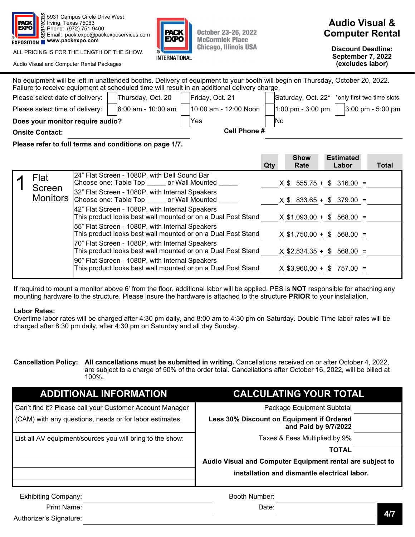

ALL PRICING IS FOR THE LENGTH OF THE SHOW.

Audio Visual and Computer Rental Packages



**October 23-26, 2022 McCormick Place Chicago, Illinois USA** 

# **Audio Visual & Computer Rental**

**Discount Deadline: September 7, 2022 (excludes labor)** 

| No equipment will be left in unattended booths. Delivery of equipment to your booth will begin on Thursday, October 20, 2022.<br>Failure to receive equipment at scheduled time will result in an additional delivery charge. |                      |                       |           |                   |                                                           |  |
|-------------------------------------------------------------------------------------------------------------------------------------------------------------------------------------------------------------------------------|----------------------|-----------------------|-----------|-------------------|-----------------------------------------------------------|--|
| Please select date of delivery:                                                                                                                                                                                               | Thursday, Oct. 20    | Friday, Oct. 21       |           |                   | Saturday, Oct. 22 <sup>*</sup> *only first two time slots |  |
| Please select time of delivery:                                                                                                                                                                                               | $8:00$ am - 10:00 am | 10:00 am - 12:00 Noon |           | 1:00 pm - 3:00 pm | 3:00 pm - 5:00 pm                                         |  |
| Does your monitor require audio?                                                                                                                                                                                              | Yes                  |                       | <b>No</b> |                   |                                                           |  |
| <b>Onsite Contact:</b>                                                                                                                                                                                                        | Cell Phone #         |                       |           |                   |                                                           |  |
| Please refer to full terms and conditions on page 1/7.                                                                                                                                                                        |                      |                       |           |                   |                                                           |  |
|                                                                                                                                                                                                                               |                      |                       |           |                   |                                                           |  |

|                           |                                                                                                                 | Qty | <b>Show</b><br>Rate | <b>Estimated</b><br>Labor    | <b>Total</b> |
|---------------------------|-----------------------------------------------------------------------------------------------------------------|-----|---------------------|------------------------------|--------------|
| Flat                      | 24" Flat Screen - 1080P, with Dell Sound Bar<br>Choose one: Table Top or Wall Mounted                           |     |                     | $X$ \$ 555.75 + \$ 316.00 =  |              |
| Screen<br><b>Monitors</b> | 32" Flat Screen - 1080P, with Internal Speakers<br>Choose one: Table Top or Wall Mounted                        |     |                     | $X$ \$ 833.65 + \$ 379.00 =  |              |
|                           | 42" Flat Screen - 1080P, with Internal Speakers<br>This product looks best wall mounted or on a Dual Post Stand |     |                     | $X$ \$1,093.00 + \$ 568.00 = |              |
|                           | 55" Flat Screen - 1080P, with Internal Speakers<br>This product looks best wall mounted or on a Dual Post Stand |     |                     | $X$ \$1,750.00 + \$ 568.00 = |              |
|                           | 70" Flat Screen - 1080P, with Internal Speakers<br>This product looks best wall mounted or on a Dual Post Stand |     |                     | $X$ \$2,834.35 + \$ 568.00 = |              |
|                           | 90" Flat Screen - 1080P, with Internal Speakers<br>This product looks best wall mounted or on a Dual Post Stand |     |                     | $X$ \$3,960.00 + \$ 757.00 = |              |

If required to mount a monitor above 6' from the floor, additional labor will be applied. PES is **NOT** responsible for attaching any mounting hardware to the structure. Please insure the hardware is attached to the structure **PRIOR** to your installation.

#### **Labor Rates:**

Overtime labor rates will be charged after 4:30 pm daily, and 8:00 am to 4:30 pm on Saturday. Double Time labor rates will be charged after 8:30 pm daily, after 4:30 pm on Saturday and all day Sunday.

| Cancellation Policy: All cancellations must be submitted in writing. Cancellations received on or after October 4, 2022, |
|--------------------------------------------------------------------------------------------------------------------------|
| are subject to a charge of 50% of the order total. Cancellations after October 16, 2022, will be billed at               |
| 100%.                                                                                                                    |

| <b>ADDITIONAL INFORMATION</b>                             | <b>CALCULATING YOUR TOTAL</b>                                     |
|-----------------------------------------------------------|-------------------------------------------------------------------|
| Can't find it? Please call your Customer Account Manager  | Package Equipment Subtotal                                        |
| (CAM) with any questions, needs or for labor estimates.   | Less 30% Discount on Equipment if Ordered<br>and Paid by 9/7/2022 |
| List all AV equipment/sources you will bring to the show: | Taxes & Fees Multiplied by 9%                                     |
|                                                           | <b>TOTAL</b>                                                      |
|                                                           | Audio Visual and Computer Equipment rental are subject to         |
|                                                           | installation and dismantle electrical labor.                      |
| <b>Exhibiting Company:</b>                                | Booth Number:                                                     |
| <b>Print Name:</b>                                        | Date:<br>4/7                                                      |
| Authorizer's Signature:                                   |                                                                   |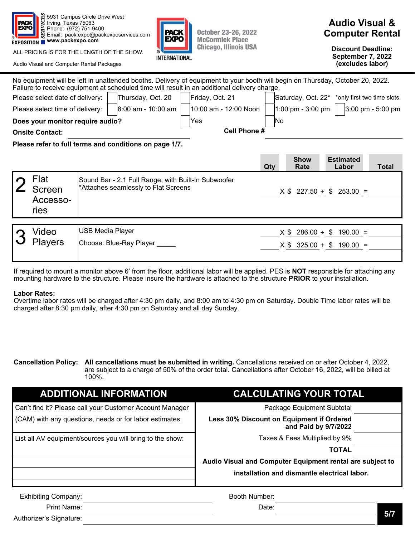

ALL PRICING IS FOR THE LENGTH OF THE SHOW.

Audio Visual and Computer Rental Packages



**Discount Deadline: September 7, 2022 (excludes labor)** 

|                                                                                                                                   | Please select date of delivery:<br>Please select time of delivery: |                         | Thursday, Oct. 20<br>l8:00 am - 10:00 am | No equipment will be left in unattended booths. Delivery of equipment to your booth will begin on Thursday, October 20, 2022.<br>Failure to receive equipment at scheduled time will result in an additional delivery charge.<br>Friday, Oct. 21<br>10:00 am - 12:00 Noon<br>Yes | No                        |                    | Saturday, Oct. 22 <sup>*</sup> *only first two time slots<br>1:00 pm - 3:00 pm $\vert$ 3:00 pm - 5:00 pm |  |
|-----------------------------------------------------------------------------------------------------------------------------------|--------------------------------------------------------------------|-------------------------|------------------------------------------|----------------------------------------------------------------------------------------------------------------------------------------------------------------------------------------------------------------------------------------------------------------------------------|---------------------------|--------------------|----------------------------------------------------------------------------------------------------------|--|
| Does your monitor require audio?<br><b>Onsite Contact:</b>                                                                        |                                                                    |                         | <b>Cell Phone #</b>                      |                                                                                                                                                                                                                                                                                  |                           |                    |                                                                                                          |  |
| Please refer to full terms and conditions on page 1/7.<br><b>Show</b><br><b>Estimated</b><br>Qty<br>Rate<br>Labor                 |                                                                    |                         |                                          |                                                                                                                                                                                                                                                                                  | Total                     |                    |                                                                                                          |  |
| Flat<br>Sound Bar - 2.1 Full Range, with Built-In Subwoofer<br>*Attaches seamlessly to Flat Screens<br>Screen<br>Accesso-<br>ries |                                                                    |                         |                                          |                                                                                                                                                                                                                                                                                  | $X $ 227.50 + $ 253.00 =$ |                    |                                                                                                          |  |
|                                                                                                                                   |                                                                    |                         |                                          |                                                                                                                                                                                                                                                                                  |                           |                    |                                                                                                          |  |
|                                                                                                                                   | Video                                                              | <b>USB Media Player</b> |                                          |                                                                                                                                                                                                                                                                                  |                           | $X$ \$ 286.00 + \$ | $190.00 =$                                                                                               |  |
|                                                                                                                                   | <b>Players</b>                                                     |                         | Choose: Blue-Ray Player                  |                                                                                                                                                                                                                                                                                  |                           |                    | $X$ \$ 325.00 + \$ 190.00 =                                                                              |  |

If required to mount a monitor above 6' from the floor, additional labor will be applied. PES is **NOT** responsible for attaching any mounting hardware to the structure. Please insure the hardware is attached to the structure **PRIOR** to your installation.

#### **Labor Rates:**

Overtime labor rates will be charged after 4:30 pm daily, and 8:00 am to 4:30 pm on Saturday. Double Time labor rates will be charged after 8:30 pm daily, after 4:30 pm on Saturday and all day Sunday.

**Cancellation Policy: All cancellations must be submitted in writing.** Cancellations received on or after October 4, 2022, are subject to a charge of 50% of the order total. Cancellations after October 16, 2022, will be billed at 100%.

| <b>ADDITIONAL INFORMATION</b>                             | <b>CALCULATING YOUR TOTAL</b>                                     |
|-----------------------------------------------------------|-------------------------------------------------------------------|
| Can't find it? Please call your Customer Account Manager  | Package Equipment Subtotal                                        |
| (CAM) with any questions, needs or for labor estimates.   | Less 30% Discount on Equipment if Ordered<br>and Paid by 9/7/2022 |
| List all AV equipment/sources you will bring to the show: | Taxes & Fees Multiplied by 9%                                     |
|                                                           | <b>TOTAL</b>                                                      |
|                                                           | Audio Visual and Computer Equipment rental are subject to         |
|                                                           | installation and dismantle electrical labor.                      |
| <b>Exhibiting Company:</b>                                | Booth Number:                                                     |
| Print Name:                                               | Date:                                                             |
| Authorizer's Signature:                                   | 5/7                                                               |



**October 23-26, 2022 McCormick Place Chicago, Illinois USA**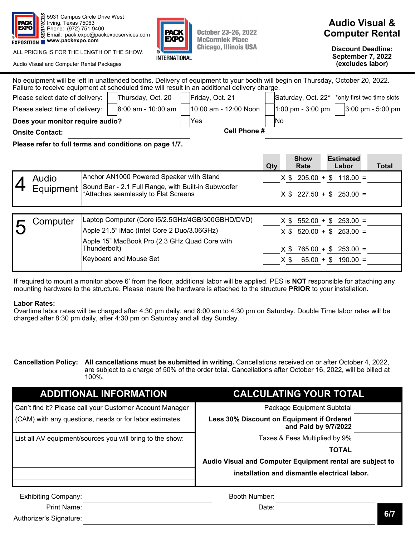

ALL PRICING IS FOR THE LENGTH OF THE SHOW.

Audio Visual and Computer Rental Packages



**October 23-26, 2022 McCormick Place Chicago, Illinois USA** 

# **Audio Visual & Computer Rental**

**Discount Deadline: September 7, 2022 (excludes labor)** 

| No equipment will be left in unattended booths. Delivery of equipment to your booth will begin on Thursday, October 20, 2022.<br>Failure to receive equipment at scheduled time will result in an additional delivery charge. |                                  |                                                                                             |                                               |                       |     |                                                           |                             |  |                             |  |                   |
|-------------------------------------------------------------------------------------------------------------------------------------------------------------------------------------------------------------------------------|----------------------------------|---------------------------------------------------------------------------------------------|-----------------------------------------------|-----------------------|-----|-----------------------------------------------------------|-----------------------------|--|-----------------------------|--|-------------------|
| Please select date of delivery:<br>Thursday, Oct. 20                                                                                                                                                                          |                                  |                                                                                             |                                               | Friday, Oct. 21       |     | Saturday, Oct. 22 <sup>*</sup> *only first two time slots |                             |  |                             |  |                   |
| $8:00$ am - 10:00 am<br>Please select time of delivery:                                                                                                                                                                       |                                  |                                                                                             |                                               | 10:00 am - 12:00 Noon |     |                                                           | 1:00 pm - 3:00 pm $ $       |  |                             |  | 3:00 pm - 5:00 pm |
|                                                                                                                                                                                                                               | Does your monitor require audio? |                                                                                             |                                               | Yes                   |     | No.                                                       |                             |  |                             |  |                   |
|                                                                                                                                                                                                                               | <b>Onsite Contact:</b>           |                                                                                             |                                               | Cell Phone #          |     |                                                           |                             |  |                             |  |                   |
| Please refer to full terms and conditions on page 1/7.                                                                                                                                                                        |                                  |                                                                                             |                                               |                       |     |                                                           |                             |  |                             |  |                   |
|                                                                                                                                                                                                                               |                                  |                                                                                             |                                               |                       | Qty |                                                           | <b>Show</b><br>Rate         |  | <b>Estimated</b><br>Labor   |  | <b>Total</b>      |
|                                                                                                                                                                                                                               | Audio                            | Anchor AN1000 Powered Speaker with Stand                                                    |                                               |                       |     |                                                           |                             |  | $X $ 205.00 + $ 118.00 =$   |  |                   |
|                                                                                                                                                                                                                               | Equipment                        | Sound Bar - 2.1 Full Range, with Built-in Subwoofer<br>*Attaches seamlessly to Flat Screens |                                               |                       |     |                                                           | $X$ \$ 227.50 + \$ 253.00 = |  |                             |  |                   |
|                                                                                                                                                                                                                               |                                  |                                                                                             |                                               |                       |     |                                                           |                             |  |                             |  |                   |
|                                                                                                                                                                                                                               | Computer                         | Laptop Computer (Core i5/2.5GHz/4GB/300GBHD/DVD)                                            |                                               |                       |     |                                                           | $X$ \$ 552.00 + \$          |  | $253.00 =$                  |  |                   |
|                                                                                                                                                                                                                               |                                  | Apple 21.5" iMac (Intel Core 2 Duo/3.06GHz)                                                 |                                               |                       |     |                                                           |                             |  | $X$ \$ 520.00 + \$ 253.00 = |  |                   |
|                                                                                                                                                                                                                               |                                  | Thunderbolt)                                                                                | Apple 15" MacBook Pro (2.3 GHz Quad Core with |                       |     |                                                           |                             |  | $X $ 765.00 + $ 253.00 =$   |  |                   |

If required to mount a monitor above 6' from the floor, additional labor will be applied. PES is **NOT** responsible for attaching any mounting hardware to the structure. Please insure the hardware is attached to the structure **PRIOR** to your installation.

Keyboard and Mouse Set  $X $ 65.00 + $ 190.00 =$ 

### **Labor Rates:**

Overtime labor rates will be charged after 4:30 pm daily, and 8:00 am to 4:30 pm on Saturday. Double Time labor rates will be charged after 8:30 pm daily, after 4:30 pm on Saturday and all day Sunday.

**Cancellation Policy: All cancellations must be submitted in writing.** Cancellations received on or after October 4, 2022, are subject to a charge of 50% of the order total. Cancellations after October 16, 2022, will be billed at 100%.

| <b>ADDITIONAL INFORMATION</b>                             | <b>CALCULATING YOUR TOTAL</b>                                     |  |  |  |  |  |
|-----------------------------------------------------------|-------------------------------------------------------------------|--|--|--|--|--|
| Can't find it? Please call your Customer Account Manager  | Package Equipment Subtotal                                        |  |  |  |  |  |
| (CAM) with any questions, needs or for labor estimates.   | Less 30% Discount on Equipment if Ordered<br>and Paid by 9/7/2022 |  |  |  |  |  |
| List all AV equipment/sources you will bring to the show: | Taxes & Fees Multiplied by 9%                                     |  |  |  |  |  |
|                                                           | <b>TOTAL</b>                                                      |  |  |  |  |  |
|                                                           | Audio Visual and Computer Equipment rental are subject to         |  |  |  |  |  |
|                                                           | installation and dismantle electrical labor.                      |  |  |  |  |  |
| <b>Exhibiting Company:</b>                                | Booth Number:                                                     |  |  |  |  |  |
| Print Name:                                               | Date:                                                             |  |  |  |  |  |
| Authorizer's Signature:                                   | 6/7                                                               |  |  |  |  |  |